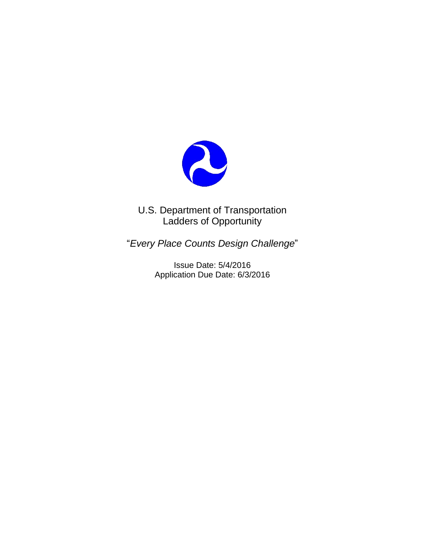

U.S. Department of Transportation Ladders of Opportunity

"*Every Place Counts Design Challenge*"

Issue Date: 5/4/2016 Application Due Date: 6/3/2016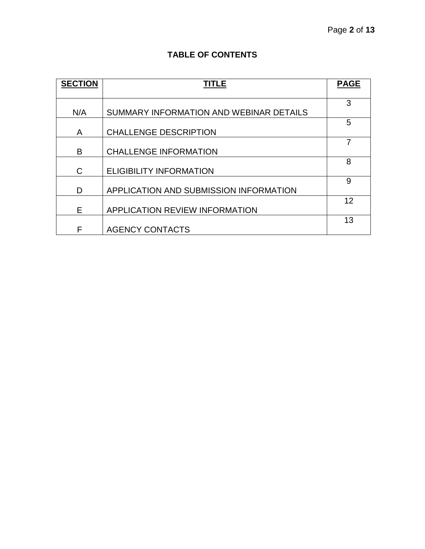# **TABLE OF CONTENTS**

| <b>SECTION</b> | TITLE                                   | <b>PAGE</b> |
|----------------|-----------------------------------------|-------------|
|                |                                         |             |
|                |                                         | 3           |
| N/A            | SUMMARY INFORMATION AND WEBINAR DETAILS |             |
|                |                                         | 5           |
| A              | <b>CHALLENGE DESCRIPTION</b>            |             |
|                |                                         | 7           |
| B              | <b>CHALLENGE INFORMATION</b>            |             |
|                |                                         | 8           |
| $\mathsf{C}$   | <b>ELIGIBILITY INFORMATION</b>          |             |
|                |                                         | 9           |
| D              | APPLICATION AND SUBMISSION INFORMATION  |             |
|                |                                         | 12          |
| Е              | APPLICATION REVIEW INFORMATION          |             |
|                |                                         | 13          |
| F              | <b>AGENCY CONTACTS</b>                  |             |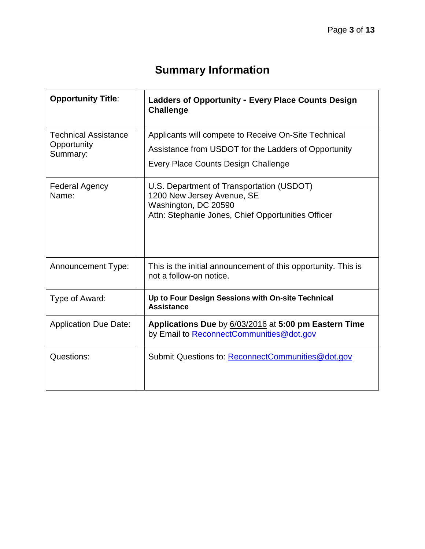# **Summary Information**

| <b>Opportunity Title:</b>                              | <b>Ladders of Opportunity - Every Place Counts Design</b><br><b>Challenge</b>                                                                         |
|--------------------------------------------------------|-------------------------------------------------------------------------------------------------------------------------------------------------------|
| <b>Technical Assistance</b><br>Opportunity<br>Summary: | Applicants will compete to Receive On-Site Technical<br>Assistance from USDOT for the Ladders of Opportunity<br>Every Place Counts Design Challenge   |
| <b>Federal Agency</b><br>Name:                         | U.S. Department of Transportation (USDOT)<br>1200 New Jersey Avenue, SE<br>Washington, DC 20590<br>Attn: Stephanie Jones, Chief Opportunities Officer |
| <b>Announcement Type:</b>                              | This is the initial announcement of this opportunity. This is<br>not a follow-on notice.                                                              |
| Type of Award:                                         | Up to Four Design Sessions with On-site Technical<br><b>Assistance</b>                                                                                |
| <b>Application Due Date:</b>                           | Applications Due by 6/03/2016 at 5:00 pm Eastern Time<br>by Email to ReconnectCommunities@dot.gov                                                     |
| Questions:                                             | Submit Questions to: ReconnectCommunities@dot.gov                                                                                                     |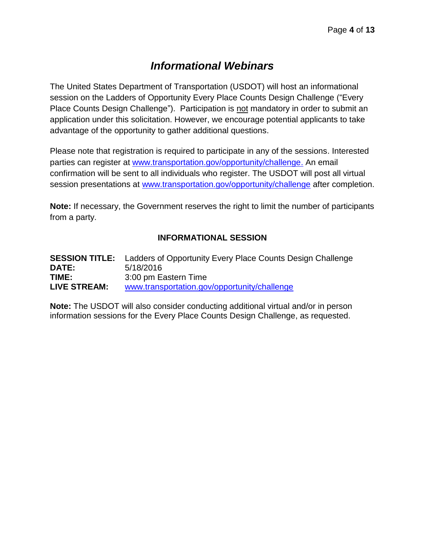# *Informational Webinars*

The United States Department of Transportation (USDOT) will host an informational session on the Ladders of Opportunity Every Place Counts Design Challenge ("Every Place Counts Design Challenge"). Participation is not mandatory in order to submit an application under this solicitation. However, we encourage potential applicants to take advantage of the opportunity to gather additional questions.

Please note that registration is required to participate in any of the sessions. Interested parties can register at [www.transportation.gov/opportunity/challenge.](http://www.transportation.gov/opportunity/challenge) An email confirmation will be sent to all individuals who register. The USDOT will post all virtual session presentations at [www.transportation.gov/opportunity/challenge](http://www.transportation.gov/opportunity/challenge) after completion.

**Note:** If necessary, the Government reserves the right to limit the number of participants from a party.

# **INFORMATIONAL SESSION**

**SESSION TITLE:** Ladders of Opportunity Every Place Counts Design Challenge **DATE:** 5/18/2016 **TIME:** 3:00 pm Eastern Time **LIVE STREAM:** [www.transportation.gov/opportunity/challenge](http://www.transportation.gov/opportunity/challenge)

**Note:** The USDOT will also consider conducting additional virtual and/or in person information sessions for the Every Place Counts Design Challenge, as requested.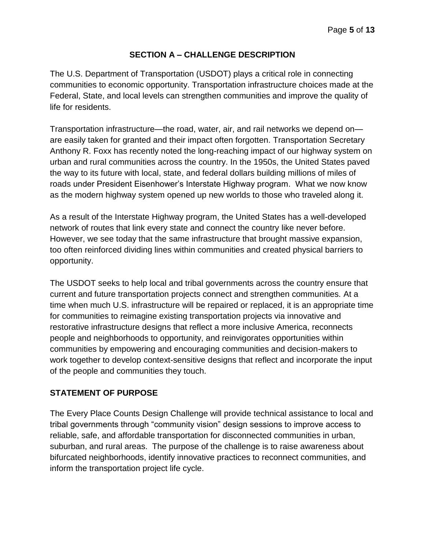# **SECTION A – CHALLENGE DESCRIPTION**

The U.S. Department of Transportation (USDOT) plays a critical role in connecting communities to economic opportunity. Transportation infrastructure choices made at the Federal, State, and local levels can strengthen communities and improve the quality of life for residents.

Transportation infrastructure—the road, water, air, and rail networks we depend on are easily taken for granted and their impact often forgotten. Transportation Secretary Anthony R. Foxx has recently noted the long-reaching impact of our highway system on urban and rural communities across the country. In the 1950s, the United States paved the way to its future with local, state, and federal dollars building millions of miles of roads under President Eisenhower's Interstate Highway program. What we now know as the modern highway system opened up new worlds to those who traveled along it.

As a result of the Interstate Highway program, the United States has a well-developed network of routes that link every state and connect the country like never before. However, we see today that the same infrastructure that brought massive expansion, too often reinforced dividing lines within communities and created physical barriers to opportunity.

The USDOT seeks to help local and tribal governments across the country ensure that current and future transportation projects connect and strengthen communities. At a time when much U.S. infrastructure will be repaired or replaced, it is an appropriate time for communities to reimagine existing transportation projects via innovative and restorative infrastructure designs that reflect a more inclusive America, reconnects people and neighborhoods to opportunity, and reinvigorates opportunities within communities by empowering and encouraging communities and decision-makers to work together to develop context-sensitive designs that reflect and incorporate the input of the people and communities they touch.

# **STATEMENT OF PURPOSE**

The Every Place Counts Design Challenge will provide technical assistance to local and tribal governments through "community vision" design sessions to improve access to reliable, safe, and affordable transportation for disconnected communities in urban, suburban, and rural areas. The purpose of the challenge is to raise awareness about bifurcated neighborhoods, identify innovative practices to reconnect communities, and inform the transportation project life cycle.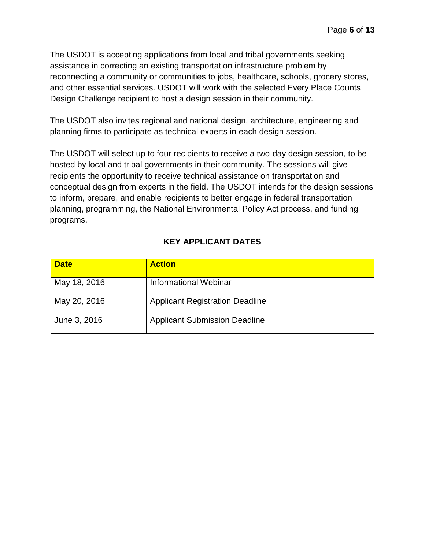The USDOT is accepting applications from local and tribal governments seeking assistance in correcting an existing transportation infrastructure problem by reconnecting a community or communities to jobs, healthcare, schools, grocery stores, and other essential services. USDOT will work with the selected Every Place Counts Design Challenge recipient to host a design session in their community.

The USDOT also invites regional and national design, architecture, engineering and planning firms to participate as technical experts in each design session.

The USDOT will select up to four recipients to receive a two-day design session, to be hosted by local and tribal governments in their community. The sessions will give recipients the opportunity to receive technical assistance on transportation and conceptual design from experts in the field. The USDOT intends for the design sessions to inform, prepare, and enable recipients to better engage in federal transportation planning, programming, the National Environmental Policy Act process, and funding programs.

# **KEY APPLICANT DATES**

| <b>Date</b>  | <b>Action</b>                          |
|--------------|----------------------------------------|
| May 18, 2016 | Informational Webinar                  |
| May 20, 2016 | <b>Applicant Registration Deadline</b> |
| June 3, 2016 | <b>Applicant Submission Deadline</b>   |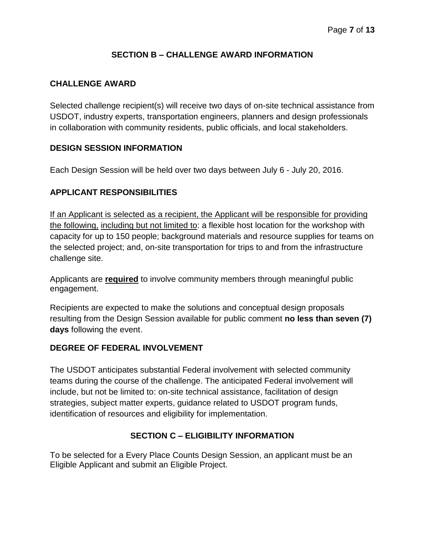# **SECTION B – CHALLENGE AWARD INFORMATION**

# **CHALLENGE AWARD**

Selected challenge recipient(s) will receive two days of on-site technical assistance from USDOT, industry experts, transportation engineers, planners and design professionals in collaboration with community residents, public officials, and local stakeholders.

#### **DESIGN SESSION INFORMATION**

Each Design Session will be held over two days between July 6 - July 20, 2016.

# **APPLICANT RESPONSIBILITIES**

If an Applicant is selected as a recipient, the Applicant will be responsible for providing the following, including but not limited to: a flexible host location for the workshop with capacity for up to 150 people; background materials and resource supplies for teams on the selected project; and, on-site transportation for trips to and from the infrastructure challenge site.

Applicants are **required** to involve community members through meaningful public engagement.

Recipients are expected to make the solutions and conceptual design proposals resulting from the Design Session available for public comment **no less than seven (7) days** following the event.

#### **DEGREE OF FEDERAL INVOLVEMENT**

The USDOT anticipates substantial Federal involvement with selected community teams during the course of the challenge. The anticipated Federal involvement will include, but not be limited to: on-site technical assistance, facilitation of design strategies, subject matter experts, guidance related to USDOT program funds, identification of resources and eligibility for implementation.

# **SECTION C – ELIGIBILITY INFORMATION**

To be selected for a Every Place Counts Design Session, an applicant must be an Eligible Applicant and submit an Eligible Project.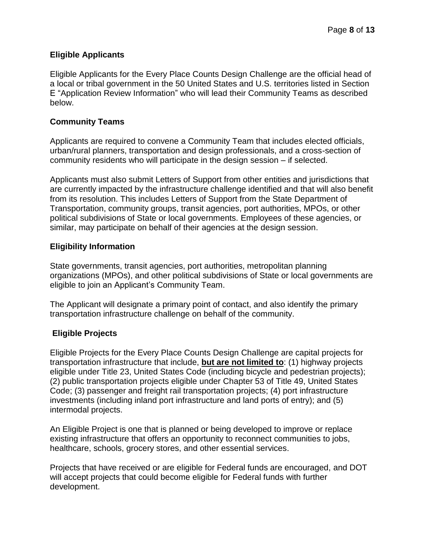# **Eligible Applicants**

Eligible Applicants for the Every Place Counts Design Challenge are the official head of a local or tribal government in the 50 United States and U.S. territories listed in Section E "Application Review Information" who will lead their Community Teams as described below.

#### **Community Teams**

Applicants are required to convene a Community Team that includes elected officials, urban/rural planners, transportation and design professionals, and a cross-section of community residents who will participate in the design session – if selected.

Applicants must also submit Letters of Support from other entities and jurisdictions that are currently impacted by the infrastructure challenge identified and that will also benefit from its resolution. This includes Letters of Support from the State Department of Transportation, community groups, transit agencies, port authorities, MPOs, or other political subdivisions of State or local governments. Employees of these agencies, or similar, may participate on behalf of their agencies at the design session.

#### **Eligibility Information**

State governments, transit agencies, port authorities, metropolitan planning organizations (MPOs), and other political subdivisions of State or local governments are eligible to join an Applicant's Community Team.

The Applicant will designate a primary point of contact, and also identify the primary transportation infrastructure challenge on behalf of the community.

# **Eligible Projects**

Eligible Projects for the Every Place Counts Design Challenge are capital projects for transportation infrastructure that include, **but are not limited to**: (1) highway projects eligible under Title 23, United States Code (including bicycle and pedestrian projects); (2) public transportation projects eligible under Chapter 53 of Title 49, United States Code; (3) passenger and freight rail transportation projects; (4) port infrastructure investments (including inland port infrastructure and land ports of entry); and (5) intermodal projects.

An Eligible Project is one that is planned or being developed to improve or replace existing infrastructure that offers an opportunity to reconnect communities to jobs, healthcare, schools, grocery stores, and other essential services.

Projects that have received or are eligible for Federal funds are encouraged, and DOT will accept projects that could become eligible for Federal funds with further development.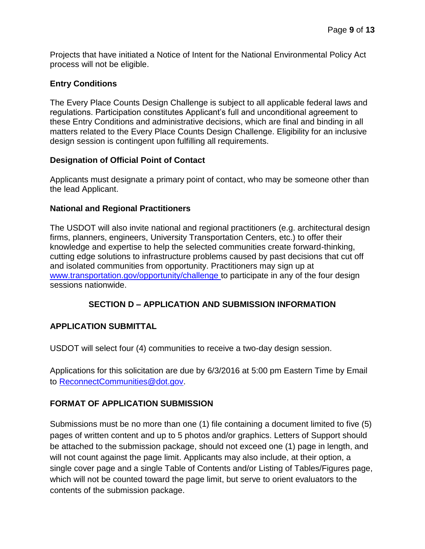Projects that have initiated a Notice of Intent for the National Environmental Policy Act process will not be eligible.

#### **Entry Conditions**

The Every Place Counts Design Challenge is subject to all applicable federal laws and regulations. Participation constitutes Applicant's full and unconditional agreement to these Entry Conditions and administrative decisions, which are final and binding in all matters related to the Every Place Counts Design Challenge. Eligibility for an inclusive design session is contingent upon fulfilling all requirements.

#### **Designation of Official Point of Contact**

Applicants must designate a primary point of contact, who may be someone other than the lead Applicant.

#### **National and Regional Practitioners**

The USDOT will also invite national and regional practitioners (e.g. architectural design firms, planners, engineers, University Transportation Centers, etc.) to offer their knowledge and expertise to help the selected communities create forward-thinking, cutting edge solutions to infrastructure problems caused by past decisions that cut off and isolated communities from opportunity. Practitioners may sign up at [www.transportation.gov/opportunity/challenge](http://www.transportation.gov/opportunity/challenge) to participate in any of the four design sessions nationwide.

# **SECTION D – APPLICATION AND SUBMISSION INFORMATION**

#### **APPLICATION SUBMITTAL**

USDOT will select four (4) communities to receive a two-day design session.

Applications for this solicitation are due by 6/3/2016 at 5:00 pm Eastern Time by Email to [ReconnectCommunities@dot.gov.](mailto:ReconnectCommunities@dot.gov)

# **FORMAT OF APPLICATION SUBMISSION**

Submissions must be no more than one (1) file containing a document limited to five (5) pages of written content and up to 5 photos and/or graphics. Letters of Support should be attached to the submission package, should not exceed one (1) page in length, and will not count against the page limit. Applicants may also include, at their option, a single cover page and a single Table of Contents and/or Listing of Tables/Figures page, which will not be counted toward the page limit, but serve to orient evaluators to the contents of the submission package.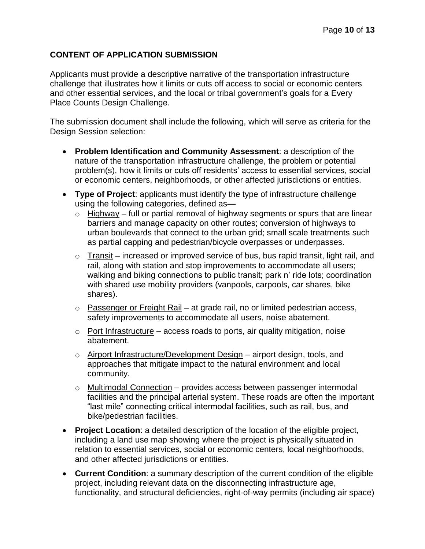# **CONTENT OF APPLICATION SUBMISSION**

Applicants must provide a descriptive narrative of the transportation infrastructure challenge that illustrates how it limits or cuts off access to social or economic centers and other essential services, and the local or tribal government's goals for a Every Place Counts Design Challenge.

The submission document shall include the following, which will serve as criteria for the Design Session selection:

- **Problem Identification and Community Assessment**: a description of the nature of the transportation infrastructure challenge, the problem or potential problem(s), how it limits or cuts off residents' access to essential services, social or economic centers, neighborhoods, or other affected jurisdictions or entities.
- **Type of Project**: applicants must identify the type of infrastructure challenge using the following categories, defined as**—**
	- $\circ$  Highway full or partial removal of highway segments or spurs that are linear barriers and manage capacity on other routes; conversion of highways to urban boulevards that connect to the urban grid; small scale treatments such as partial capping and pedestrian/bicycle overpasses or underpasses.
	- $\circ$  Transit increased or improved service of bus, bus rapid transit, light rail, and rail, along with station and stop improvements to accommodate all users; walking and biking connections to public transit; park n' ride lots; coordination with shared use mobility providers (vanpools, carpools, car shares, bike shares).
	- $\circ$  Passenger or Freight Rail at grade rail, no or limited pedestrian access, safety improvements to accommodate all users, noise abatement.
	- $\circ$  Port Infrastructure access roads to ports, air quality mitigation, noise abatement.
	- o Airport Infrastructure/Development Design airport design, tools, and approaches that mitigate impact to the natural environment and local community.
	- o Multimodal Connection provides access between passenger intermodal facilities and the principal arterial system. These roads are often the important "last mile" connecting critical intermodal facilities, such as rail, bus, and bike/pedestrian facilities.
- **Project Location**: a detailed description of the location of the eligible project, including a land use map showing where the project is physically situated in relation to essential services, social or economic centers, local neighborhoods, and other affected jurisdictions or entities.
- **Current Condition**: a summary description of the current condition of the eligible project, including relevant data on the disconnecting infrastructure age, functionality, and structural deficiencies, right-of-way permits (including air space)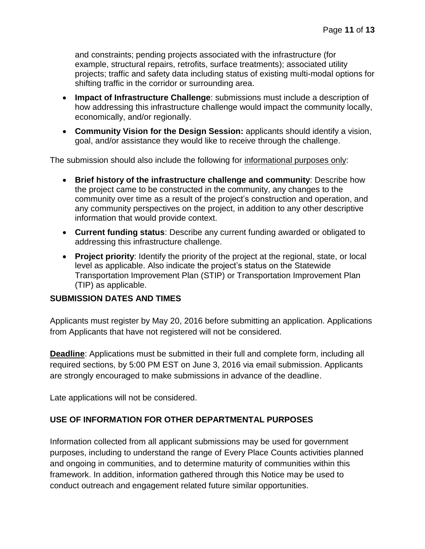and constraints; pending projects associated with the infrastructure (for example, structural repairs, retrofits, surface treatments); associated utility projects; traffic and safety data including status of existing multi-modal options for shifting traffic in the corridor or surrounding area.

- **Impact of Infrastructure Challenge**: submissions must include a description of how addressing this infrastructure challenge would impact the community locally, economically, and/or regionally.
- **Community Vision for the Design Session:** applicants should identify a vision, goal, and/or assistance they would like to receive through the challenge.

The submission should also include the following for informational purposes only:

- **Brief history of the infrastructure challenge and community**: Describe how the project came to be constructed in the community, any changes to the community over time as a result of the project's construction and operation, and any community perspectives on the project, in addition to any other descriptive information that would provide context.
- **Current funding status**: Describe any current funding awarded or obligated to addressing this infrastructure challenge.
- **Project priority**: Identify the priority of the project at the regional, state, or local level as applicable. Also indicate the project's status on the Statewide Transportation Improvement Plan (STIP) or Transportation Improvement Plan (TIP) as applicable.

# **SUBMISSION DATES AND TIMES**

Applicants must register by May 20, 2016 before submitting an application. Applications from Applicants that have not registered will not be considered.

**Deadline**: Applications must be submitted in their full and complete form, including all required sections, by 5:00 PM EST on June 3, 2016 via email submission. Applicants are strongly encouraged to make submissions in advance of the deadline.

Late applications will not be considered.

# **USE OF INFORMATION FOR OTHER DEPARTMENTAL PURPOSES**

Information collected from all applicant submissions may be used for government purposes, including to understand the range of Every Place Counts activities planned and ongoing in communities, and to determine maturity of communities within this framework. In addition, information gathered through this Notice may be used to conduct outreach and engagement related future similar opportunities.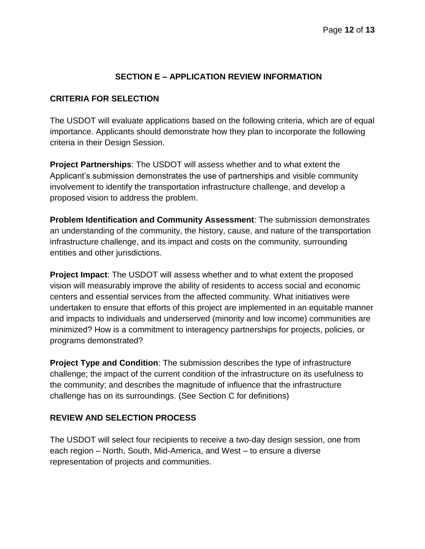# **SECTION E – APPLICATION REVIEW INFORMATION**

#### **CRITERIA FOR SELECTION**

The USDOT will evaluate applications based on the following criteria, which are of equal importance. Applicants should demonstrate how they plan to incorporate the following criteria in their Design Session.

**Project Partnerships**: The USDOT will assess whether and to what extent the Applicant's submission demonstrates the use of partnerships and visible community involvement to identify the transportation infrastructure challenge, and develop a proposed vision to address the problem.

**Problem Identification and Community Assessment**: The submission demonstrates an understanding of the community, the history, cause, and nature of the transportation infrastructure challenge, and its impact and costs on the community, surrounding entities and other jurisdictions.

**Project Impact**: The USDOT will assess whether and to what extent the proposed vision will measurably improve the ability of residents to access social and economic centers and essential services from the affected community. What initiatives were undertaken to ensure that efforts of this project are implemented in an equitable manner and impacts to individuals and underserved (minority and low income) communities are minimized? How is a commitment to interagency partnerships for projects, policies, or programs demonstrated?

**Project Type and Condition**: The submission describes the type of infrastructure challenge; the impact of the current condition of the infrastructure on its usefulness to the community; and describes the magnitude of influence that the infrastructure challenge has on its surroundings. (See Section C for definitions)

# **REVIEW AND SELECTION PROCESS**

The USDOT will select four recipients to receive a two-day design session, one from each region – North, South, Mid-America, and West – to ensure a diverse representation of projects and communities.